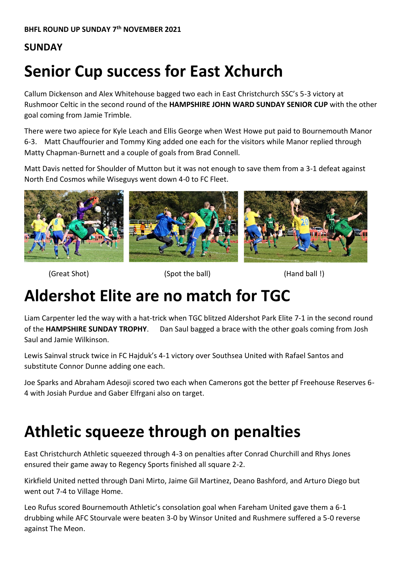#### **SUNDAY**

# **Senior Cup success for East Xchurch**

Callum Dickenson and Alex Whitehouse bagged two each in East Christchurch SSC's 5-3 victory at Rushmoor Celtic in the second round of the **HAMPSHIRE JOHN WARD SUNDAY SENIOR CUP** with the other goal coming from Jamie Trimble.

There were two apiece for Kyle Leach and Ellis George when West Howe put paid to Bournemouth Manor 6-3. Matt Chauffourier and Tommy King added one each for the visitors while Manor replied through Matty Chapman-Burnett and a couple of goals from Brad Connell.

Matt Davis netted for Shoulder of Mutton but it was not enough to save them from a 3-1 defeat against North End Cosmos while Wiseguys went down 4-0 to FC Fleet.



(Great Shot) (Spot the ball) (Hand ball !)

#### **Aldershot Elite are no match for TGC**

Liam Carpenter led the way with a hat-trick when TGC blitzed Aldershot Park Elite 7-1 in the second round of the **HAMPSHIRE SUNDAY TROPHY**. Dan Saul bagged a brace with the other goals coming from Josh Saul and Jamie Wilkinson.

Lewis Sainval struck twice in FC Hajduk's 4-1 victory over Southsea United with Rafael Santos and substitute Connor Dunne adding one each.

Joe Sparks and Abraham Adesoji scored two each when Camerons got the better pf Freehouse Reserves 6- 4 with Josiah Purdue and Gaber Elfrgani also on target.

## **Athletic squeeze through on penalties**

East Christchurch Athletic squeezed through 4-3 on penalties after Conrad Churchill and Rhys Jones ensured their game away to Regency Sports finished all square 2-2.

Kirkfield United netted through Dani Mirto, Jaime Gil Martinez, Deano Bashford, and Arturo Diego but went out 7-4 to Village Home.

Leo Rufus scored Bournemouth Athletic's consolation goal when Fareham United gave them a 6-1 drubbing while AFC Stourvale were beaten 3-0 by Winsor United and Rushmere suffered a 5-0 reverse against The Meon.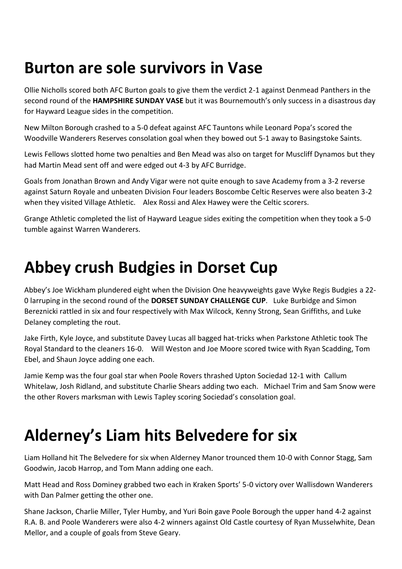#### **Burton are sole survivors in Vase**

Ollie Nicholls scored both AFC Burton goals to give them the verdict 2-1 against Denmead Panthers in the second round of the **HAMPSHIRE SUNDAY VASE** but it was Bournemouth's only success in a disastrous day for Hayward League sides in the competition.

New Milton Borough crashed to a 5-0 defeat against AFC Tauntons while Leonard Popa's scored the Woodville Wanderers Reserves consolation goal when they bowed out 5-1 away to Basingstoke Saints.

Lewis Fellows slotted home two penalties and Ben Mead was also on target for Muscliff Dynamos but they had Martin Mead sent off and were edged out 4-3 by AFC Burridge.

Goals from Jonathan Brown and Andy Vigar were not quite enough to save Academy from a 3-2 reverse against Saturn Royale and unbeaten Division Four leaders Boscombe Celtic Reserves were also beaten 3-2 when they visited Village Athletic. Alex Rossi and Alex Hawey were the Celtic scorers.

Grange Athletic completed the list of Hayward League sides exiting the competition when they took a 5-0 tumble against Warren Wanderers.

#### **Abbey crush Budgies in Dorset Cup**

Abbey's Joe Wickham plundered eight when the Division One heavyweights gave Wyke Regis Budgies a 22- 0 larruping in the second round of the **DORSET SUNDAY CHALLENGE CUP**. Luke Burbidge and Simon Bereznicki rattled in six and four respectively with Max Wilcock, Kenny Strong, Sean Griffiths, and Luke Delaney completing the rout.

Jake Firth, Kyle Joyce, and substitute Davey Lucas all bagged hat-tricks when Parkstone Athletic took The Royal Standard to the cleaners 16-0. Will Weston and Joe Moore scored twice with Ryan Scadding, Tom Ebel, and Shaun Joyce adding one each.

Jamie Kemp was the four goal star when Poole Rovers thrashed Upton Sociedad 12-1 with Callum Whitelaw, Josh Ridland, and substitute Charlie Shears adding two each. Michael Trim and Sam Snow were the other Rovers marksman with Lewis Tapley scoring Sociedad's consolation goal.

# **Alderney's Liam hits Belvedere for six**

Liam Holland hit The Belvedere for six when Alderney Manor trounced them 10-0 with Connor Stagg, Sam Goodwin, Jacob Harrop, and Tom Mann adding one each.

Matt Head and Ross Dominey grabbed two each in Kraken Sports' 5-0 victory over Wallisdown Wanderers with Dan Palmer getting the other one.

Shane Jackson, Charlie Miller, Tyler Humby, and Yuri Boin gave Poole Borough the upper hand 4-2 against R.A. B. and Poole Wanderers were also 4-2 winners against Old Castle courtesy of Ryan Musselwhite, Dean Mellor, and a couple of goals from Steve Geary.